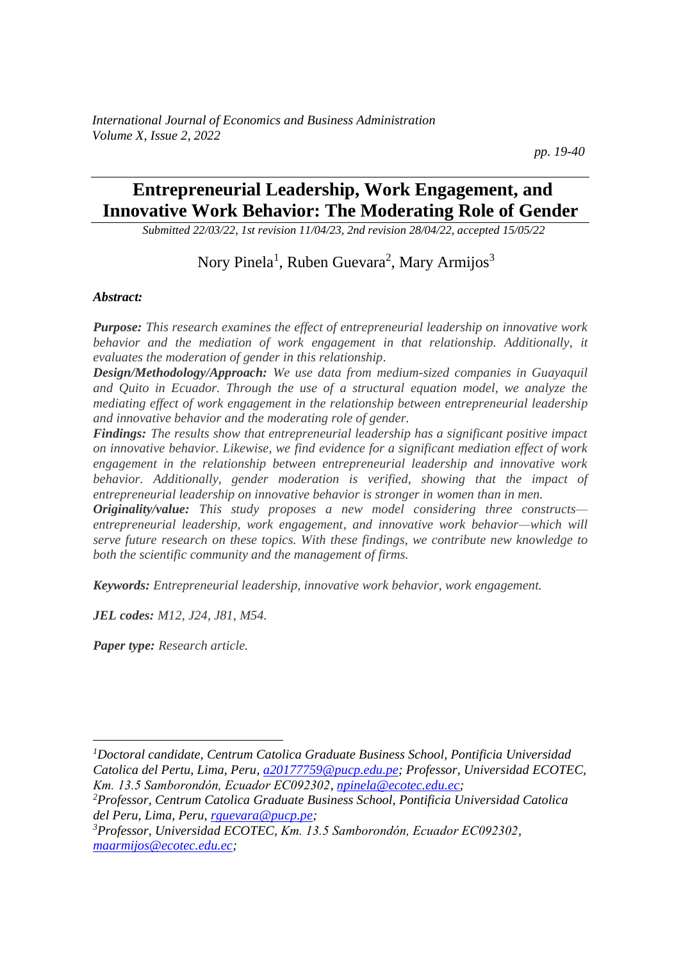*pp. 19-40*

# **Entrepreneurial Leadership, Work Engagement, and Innovative Work Behavior: The Moderating Role of Gender**

*Submitted 22/03/22, 1st revision 11/04/23, 2nd revision 28/04/22, accepted 15/05/22*

Nory Pinela<sup>1</sup>, Ruben Guevara<sup>2</sup>, Mary Armijos<sup>3</sup>

#### *Abstract:*

*Purpose: This research examines the effect of entrepreneurial leadership on innovative work behavior and the mediation of work engagement in that relationship. Additionally, it evaluates the moderation of gender in this relationship.* 

*Design/Methodology/Approach: We use data from medium-sized companies in Guayaquil and Quito in Ecuador. Through the use of a structural equation model, we analyze the mediating effect of work engagement in the relationship between entrepreneurial leadership and innovative behavior and the moderating role of gender.* 

*Findings: The results show that entrepreneurial leadership has a significant positive impact on innovative behavior. Likewise, we find evidence for a significant mediation effect of work engagement in the relationship between entrepreneurial leadership and innovative work behavior. Additionally, gender moderation is verified, showing that the impact of entrepreneurial leadership on innovative behavior is stronger in women than in men.*

*Originality/value: This study proposes a new model considering three constructs entrepreneurial leadership, work engagement, and innovative work behavior—which will serve future research on these topics. With these findings, we contribute new knowledge to both the scientific community and the management of firms.*

*Keywords: Entrepreneurial leadership, innovative work behavior, work engagement.*

*JEL codes: M12, J24, J81, M54.*

*Paper type: Research article.*

*<sup>1</sup>Doctoral candidate, Centrum Catolica Graduate Business School, Pontificia Universidad Catolica del Pertu, Lima, Peru[, a20177759@pucp.edu.pe;](mailto:a20177759@pucp.edu.pe) Professor, Universidad ECOTEC, Km. 13.5 Samborondón, Ecuador EC092302, [npinela@ecotec.edu.ec;](mailto:npinela@ecotec.edu.ec)* 

*<sup>2</sup>Professor, Centrum Catolica Graduate Business School, Pontificia Universidad Catolica del Peru, Lima, Peru[, rguevara@pucp.pe;](mailto:rguevara@pucp.pe)* 

*<sup>3</sup>Professor, Universidad ECOTEC, Km. 13.5 Samborondón, Ecuador EC092302, [maarmijos@ecotec.edu.ec;](mailto:maarmijos@ecotec.edu.ec)*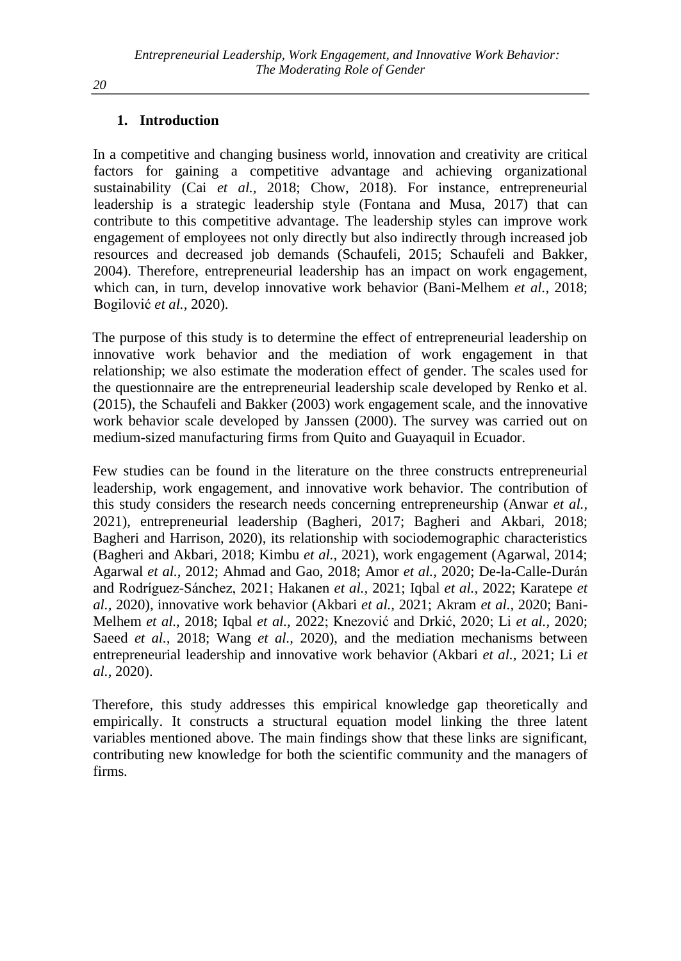# **1. Introduction**

In a competitive and changing business world, innovation and creativity are critical factors for gaining a competitive advantage and achieving organizational sustainability (Cai *et al.,* 2018; Chow, 2018). For instance, entrepreneurial leadership is a strategic leadership style (Fontana and Musa, 2017) that can contribute to this competitive advantage. The leadership styles can improve work engagement of employees not only directly but also indirectly through increased job resources and decreased job demands (Schaufeli, 2015; Schaufeli and Bakker, 2004). Therefore, entrepreneurial leadership has an impact on work engagement, which can, in turn, develop innovative work behavior (Bani-Melhem *et al.,* 2018; Bogilović *et al.,* 2020).

The purpose of this study is to determine the effect of entrepreneurial leadership on innovative work behavior and the mediation of work engagement in that relationship; we also estimate the moderation effect of gender. The scales used for the questionnaire are the entrepreneurial leadership scale developed by Renko et al. (2015), the Schaufeli and Bakker (2003) work engagement scale, and the innovative work behavior scale developed by Janssen (2000). The survey was carried out on medium-sized manufacturing firms from Quito and Guayaquil in Ecuador.

Few studies can be found in the literature on the three constructs entrepreneurial leadership, work engagement, and innovative work behavior. The contribution of this study considers the research needs concerning entrepreneurship (Anwar *et al.,* 2021), entrepreneurial leadership (Bagheri, 2017; Bagheri and Akbari, 2018; Bagheri and Harrison, 2020), its relationship with sociodemographic characteristics (Bagheri and Akbari, 2018; Kimbu *et al.,* 2021), work engagement (Agarwal, 2014; Agarwal *et al.,* 2012; Ahmad and Gao, 2018; Amor *et al.,* 2020; De-la-Calle-Durán and Rodríguez-Sánchez, 2021; Hakanen *et al.,* 2021; Iqbal *et al.,* 2022; Karatepe *et al.,* 2020), innovative work behavior (Akbari *et al.,* 2021; Akram *et al.,* 2020; Bani-Melhem *et al.,* 2018; Iqbal *et al.,* 2022; Knezović and Drkić, 2020; Li *et al.,* 2020; Saeed *et al.,* 2018; Wang *et al.,* 2020), and the mediation mechanisms between entrepreneurial leadership and innovative work behavior (Akbari *et al.,* 2021; Li *et al.,* 2020).

Therefore, this study addresses this empirical knowledge gap theoretically and empirically. It constructs a structural equation model linking the three latent variables mentioned above. The main findings show that these links are significant, contributing new knowledge for both the scientific community and the managers of firms.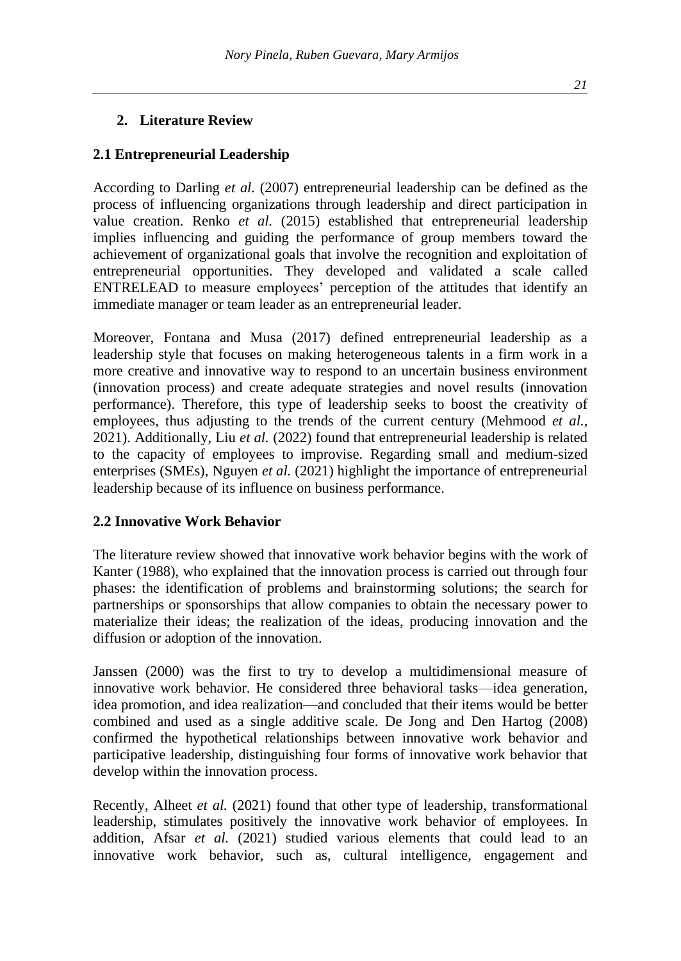### **2. Literature Review**

### **2.1 Entrepreneurial Leadership**

According to Darling *et al.* (2007) entrepreneurial leadership can be defined as the process of influencing organizations through leadership and direct participation in value creation. Renko *et al.* (2015) established that entrepreneurial leadership implies influencing and guiding the performance of group members toward the achievement of organizational goals that involve the recognition and exploitation of entrepreneurial opportunities. They developed and validated a scale called ENTRELEAD to measure employees' perception of the attitudes that identify an immediate manager or team leader as an entrepreneurial leader.

Moreover, Fontana and Musa (2017) defined entrepreneurial leadership as a leadership style that focuses on making heterogeneous talents in a firm work in a more creative and innovative way to respond to an uncertain business environment (innovation process) and create adequate strategies and novel results (innovation performance). Therefore, this type of leadership seeks to boost the creativity of employees, thus adjusting to the trends of the current century (Mehmood *et al.,* 2021). Additionally, Liu *et al.* (2022) found that entrepreneurial leadership is related to the capacity of employees to improvise. Regarding small and medium-sized enterprises (SMEs), Nguyen *et al.* (2021) highlight the importance of entrepreneurial leadership because of its influence on business performance.

### **2.2 Innovative Work Behavior**

The literature review showed that innovative work behavior begins with the work of Kanter (1988), who explained that the innovation process is carried out through four phases: the identification of problems and brainstorming solutions; the search for partnerships or sponsorships that allow companies to obtain the necessary power to materialize their ideas; the realization of the ideas, producing innovation and the diffusion or adoption of the innovation.

Janssen (2000) was the first to try to develop a multidimensional measure of innovative work behavior. He considered three behavioral tasks—idea generation, idea promotion, and idea realization—and concluded that their items would be better combined and used as a single additive scale. De Jong and Den Hartog (2008) confirmed the hypothetical relationships between innovative work behavior and participative leadership, distinguishing four forms of innovative work behavior that develop within the innovation process.

Recently, Alheet *et al.* (2021) found that other type of leadership, transformational leadership, stimulates positively the innovative work behavior of employees. In addition, Afsar *et al.* (2021) studied various elements that could lead to an innovative work behavior, such as, cultural intelligence, engagement and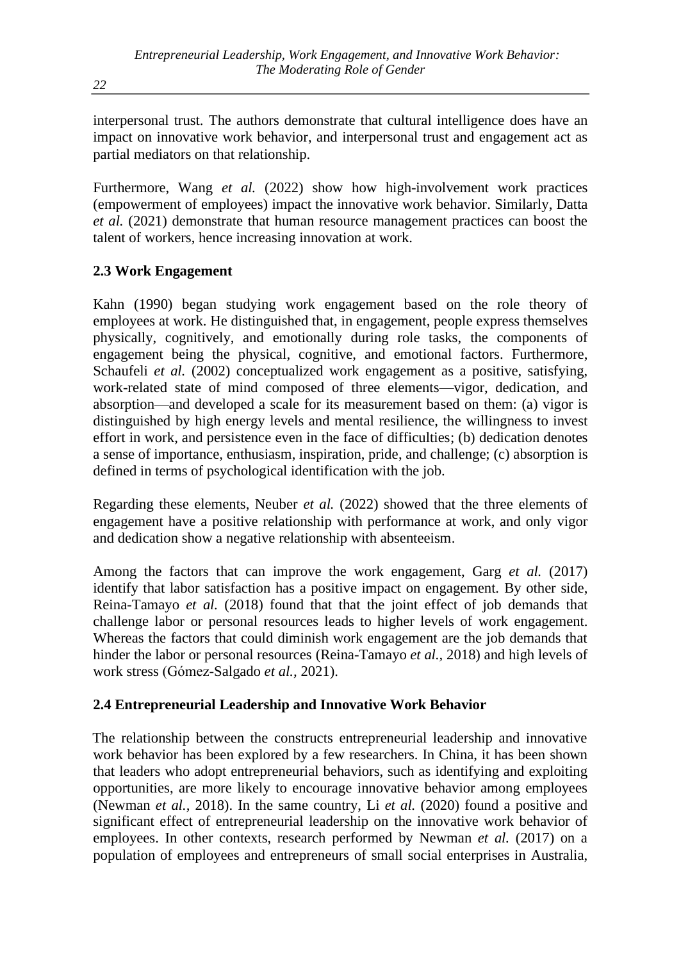interpersonal trust. The authors demonstrate that cultural intelligence does have an impact on innovative work behavior, and interpersonal trust and engagement act as partial mediators on that relationship.

Furthermore, Wang *et al.* (2022) show how high-involvement work practices (empowerment of employees) impact the innovative work behavior. Similarly, Datta *et al.* (2021) demonstrate that human resource management practices can boost the talent of workers, hence increasing innovation at work.

# **2.3 Work Engagement**

Kahn (1990) began studying work engagement based on the role theory of employees at work. He distinguished that, in engagement, people express themselves physically, cognitively, and emotionally during role tasks, the components of engagement being the physical, cognitive, and emotional factors. Furthermore, Schaufeli *et al.* (2002) conceptualized work engagement as a positive, satisfying, work-related state of mind composed of three elements—vigor, dedication, and absorption—and developed a scale for its measurement based on them: (a) vigor is distinguished by high energy levels and mental resilience, the willingness to invest effort in work, and persistence even in the face of difficulties; (b) dedication denotes a sense of importance, enthusiasm, inspiration, pride, and challenge; (c) absorption is defined in terms of psychological identification with the job.

Regarding these elements, Neuber *et al.* (2022) showed that the three elements of engagement have a positive relationship with performance at work, and only vigor and dedication show a negative relationship with absenteeism.

Among the factors that can improve the work engagement, Garg *et al.* (2017) identify that labor satisfaction has a positive impact on engagement. By other side, Reina-Tamayo *et al.* (2018) found that that the joint effect of job demands that challenge labor or personal resources leads to higher levels of work engagement. Whereas the factors that could diminish work engagement are the job demands that hinder the labor or personal resources (Reina-Tamayo *et al.,* 2018) and high levels of work stress (Gómez-Salgado *et al.,* 2021).

# **2.4 Entrepreneurial Leadership and Innovative Work Behavior**

The relationship between the constructs entrepreneurial leadership and innovative work behavior has been explored by a few researchers. In China, it has been shown that leaders who adopt entrepreneurial behaviors, such as identifying and exploiting opportunities, are more likely to encourage innovative behavior among employees (Newman *et al.,* 2018). In the same country, Li *et al.* (2020) found a positive and significant effect of entrepreneurial leadership on the innovative work behavior of employees. In other contexts, research performed by Newman *et al.* (2017) on a population of employees and entrepreneurs of small social enterprises in Australia,

*22*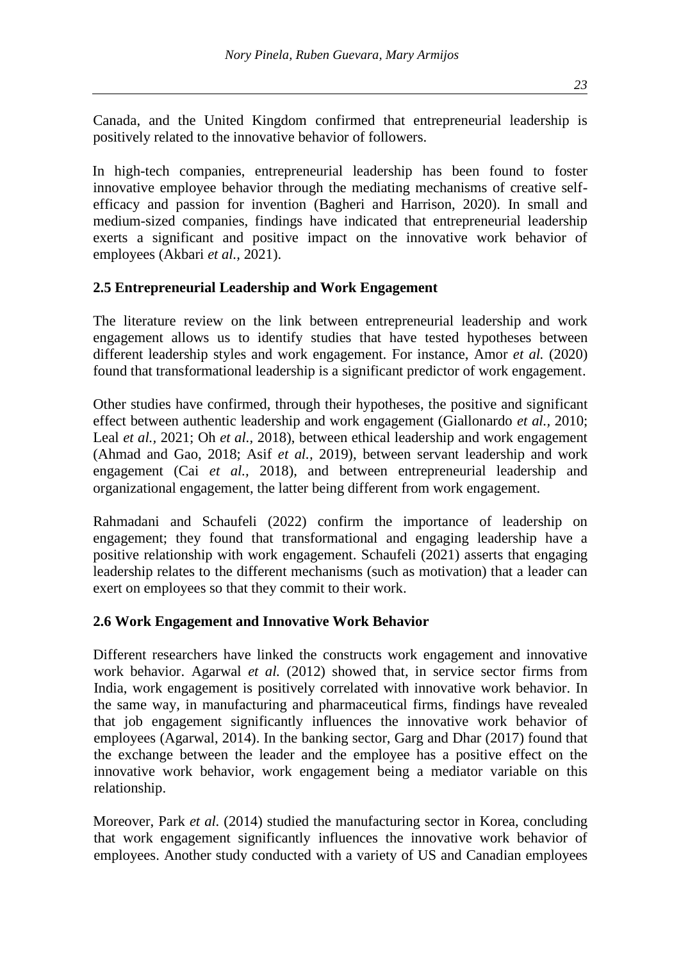Canada, and the United Kingdom confirmed that entrepreneurial leadership is positively related to the innovative behavior of followers.

In high-tech companies, entrepreneurial leadership has been found to foster innovative employee behavior through the mediating mechanisms of creative selfefficacy and passion for invention (Bagheri and Harrison, 2020). In small and medium-sized companies, findings have indicated that entrepreneurial leadership exerts a significant and positive impact on the innovative work behavior of employees (Akbari *et al.,* 2021).

### **2.5 Entrepreneurial Leadership and Work Engagement**

The literature review on the link between entrepreneurial leadership and work engagement allows us to identify studies that have tested hypotheses between different leadership styles and work engagement. For instance, Amor *et al.* (2020) found that transformational leadership is a significant predictor of work engagement.

Other studies have confirmed, through their hypotheses, the positive and significant effect between authentic leadership and work engagement (Giallonardo *et al.,* 2010; Leal *et al.,* 2021; Oh *et al.,* 2018), between ethical leadership and work engagement (Ahmad and Gao, 2018; Asif *et al.,* 2019), between servant leadership and work engagement (Cai *et al.,* 2018), and between entrepreneurial leadership and organizational engagement, the latter being different from work engagement.

Rahmadani and Schaufeli (2022) confirm the importance of leadership on engagement; they found that transformational and engaging leadership have a positive relationship with work engagement. Schaufeli (2021) asserts that engaging leadership relates to the different mechanisms (such as motivation) that a leader can exert on employees so that they commit to their work.

### **2.6 Work Engagement and Innovative Work Behavior**

Different researchers have linked the constructs work engagement and innovative work behavior. Agarwal *et al.* (2012) showed that, in service sector firms from India, work engagement is positively correlated with innovative work behavior. In the same way, in manufacturing and pharmaceutical firms, findings have revealed that job engagement significantly influences the innovative work behavior of employees (Agarwal, 2014). In the banking sector, Garg and Dhar (2017) found that the exchange between the leader and the employee has a positive effect on the innovative work behavior, work engagement being a mediator variable on this relationship.

Moreover, Park *et al.* (2014) studied the manufacturing sector in Korea, concluding that work engagement significantly influences the innovative work behavior of employees. Another study conducted with a variety of US and Canadian employees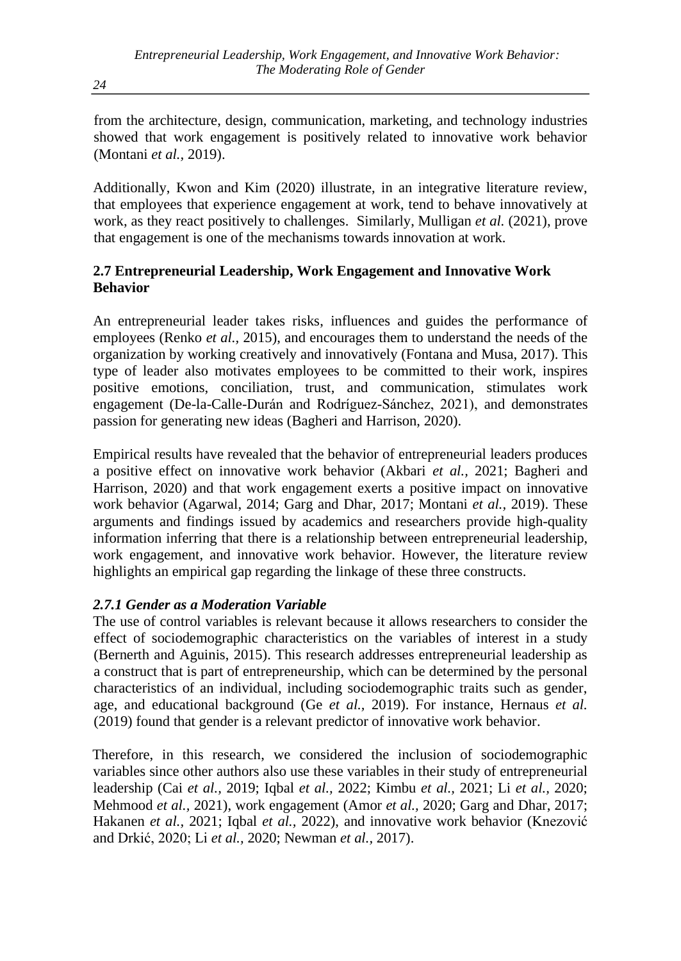from the architecture, design, communication, marketing, and technology industries showed that work engagement is positively related to innovative work behavior (Montani *et al.,* 2019).

Additionally, Kwon and Kim (2020) illustrate, in an integrative literature review, that employees that experience engagement at work, tend to behave innovatively at work, as they react positively to challenges. Similarly, Mulligan *et al.* (2021), prove that engagement is one of the mechanisms towards innovation at work.

# **2.7 Entrepreneurial Leadership, Work Engagement and Innovative Work Behavior**

An entrepreneurial leader takes risks, influences and guides the performance of employees (Renko *et al.,* 2015), and encourages them to understand the needs of the organization by working creatively and innovatively (Fontana and Musa, 2017). This type of leader also motivates employees to be committed to their work, inspires positive emotions, conciliation, trust, and communication, stimulates work engagement (De-la-Calle-Durán and Rodríguez-Sánchez, 2021), and demonstrates passion for generating new ideas (Bagheri and Harrison, 2020).

Empirical results have revealed that the behavior of entrepreneurial leaders produces a positive effect on innovative work behavior (Akbari *et al.,* 2021; Bagheri and Harrison, 2020) and that work engagement exerts a positive impact on innovative work behavior (Agarwal, 2014; Garg and Dhar, 2017; Montani *et al.,* 2019). These arguments and findings issued by academics and researchers provide high-quality information inferring that there is a relationship between entrepreneurial leadership, work engagement, and innovative work behavior. However, the literature review highlights an empirical gap regarding the linkage of these three constructs.

# *2.7.1 Gender as a Moderation Variable*

The use of control variables is relevant because it allows researchers to consider the effect of sociodemographic characteristics on the variables of interest in a study (Bernerth and Aguinis, 2015). This research addresses entrepreneurial leadership as a construct that is part of entrepreneurship, which can be determined by the personal characteristics of an individual, including sociodemographic traits such as gender, age, and educational background (Ge *et al.,* 2019). For instance, Hernaus *et al.* (2019) found that gender is a relevant predictor of innovative work behavior.

Therefore, in this research, we considered the inclusion of sociodemographic variables since other authors also use these variables in their study of entrepreneurial leadership (Cai *et al.,* 2019; Iqbal *et al.,* 2022; Kimbu *et al.,* 2021; Li *et al.,* 2020; Mehmood *et al.,* 2021), work engagement (Amor *et al.,* 2020; Garg and Dhar, 2017; Hakanen *et al.,* 2021; Iqbal *et al.,* 2022), and innovative work behavior (Knezović and Drkić, 2020; Li *et al.,* 2020; Newman *et al.,* 2017).

*24*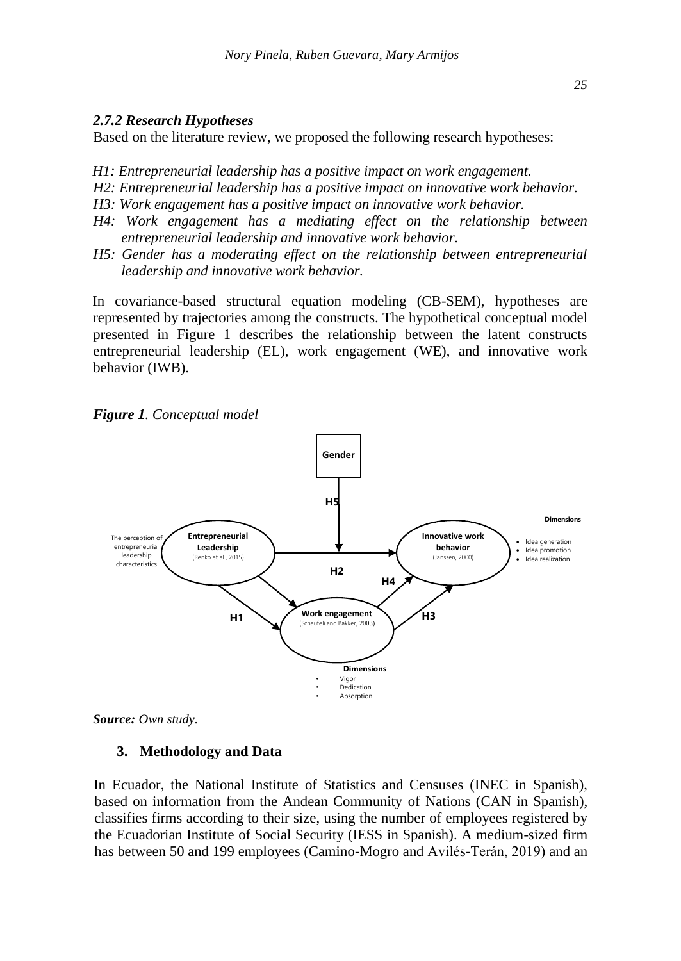#### *2.7.2 Research Hypotheses*

Based on the literature review, we proposed the following research hypotheses:

- *H1: Entrepreneurial leadership has a positive impact on work engagement.*
- *H2: Entrepreneurial leadership has a positive impact on innovative work behavior.*
- *H3: Work engagement has a positive impact on innovative work behavior.*
- *H4: Work engagement has a mediating effect on the relationship between entrepreneurial leadership and innovative work behavior.*
- *H5: Gender has a moderating effect on the relationship between entrepreneurial leadership and innovative work behavior.*

In covariance-based structural equation modeling (CB-SEM), hypotheses are represented by trajectories among the constructs. The hypothetical conceptual model presented in Figure 1 describes the relationship between the latent constructs entrepreneurial leadership (EL), work engagement (WE), and innovative work behavior (IWB).

*Figure 1. Conceptual model*



*Source: Own study.*

#### **3. Methodology and Data**

In Ecuador, the National Institute of Statistics and Censuses (INEC in Spanish), based on information from the Andean Community of Nations (CAN in Spanish), classifies firms according to their size, using the number of employees registered by the Ecuadorian Institute of Social Security (IESS in Spanish). A medium-sized firm has between 50 and 199 employees (Camino-Mogro and Avilés-Terán, 2019) and an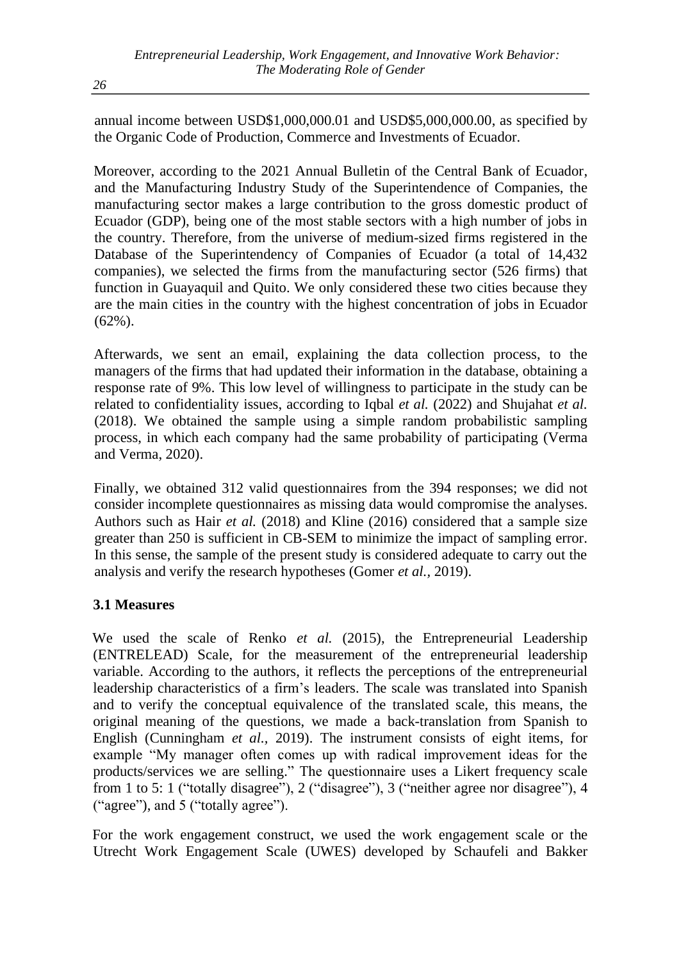annual income between USD\$1,000,000.01 and USD\$5,000,000.00, as specified by the Organic Code of Production, Commerce and Investments of Ecuador.

Moreover, according to the 2021 Annual Bulletin of the Central Bank of Ecuador, and the Manufacturing Industry Study of the Superintendence of Companies, the manufacturing sector makes a large contribution to the gross domestic product of Ecuador (GDP), being one of the most stable sectors with a high number of jobs in the country. Therefore, from the universe of medium-sized firms registered in the Database of the Superintendency of Companies of Ecuador (a total of 14,432 companies), we selected the firms from the manufacturing sector (526 firms) that function in Guayaquil and Quito. We only considered these two cities because they are the main cities in the country with the highest concentration of jobs in Ecuador (62%).

Afterwards, we sent an email, explaining the data collection process, to the managers of the firms that had updated their information in the database, obtaining a response rate of 9%. This low level of willingness to participate in the study can be related to confidentiality issues, according to Iqbal *et al.* (2022) and Shujahat *et al.* (2018). We obtained the sample using a simple random probabilistic sampling process, in which each company had the same probability of participating (Verma and Verma, 2020).

Finally, we obtained 312 valid questionnaires from the 394 responses; we did not consider incomplete questionnaires as missing data would compromise the analyses. Authors such as Hair *et al.* (2018) and Kline (2016) considered that a sample size greater than 250 is sufficient in CB-SEM to minimize the impact of sampling error. In this sense, the sample of the present study is considered adequate to carry out the analysis and verify the research hypotheses (Gomer *et al.,* 2019).

# **3.1 Measures**

We used the scale of Renko *et al.* (2015), the Entrepreneurial Leadership (ENTRELEAD) Scale, for the measurement of the entrepreneurial leadership variable. According to the authors, it reflects the perceptions of the entrepreneurial leadership characteristics of a firm's leaders. The scale was translated into Spanish and to verify the conceptual equivalence of the translated scale, this means, the original meaning of the questions, we made a back-translation from Spanish to English (Cunningham *et al.,* 2019). The instrument consists of eight items, for example "My manager often comes up with radical improvement ideas for the products/services we are selling." The questionnaire uses a Likert frequency scale from 1 to 5: 1 ("totally disagree"), 2 ("disagree"), 3 ("neither agree nor disagree"), 4 ("agree"), and 5 ("totally agree").

For the work engagement construct, we used the work engagement scale or the Utrecht Work Engagement Scale (UWES) developed by Schaufeli and Bakker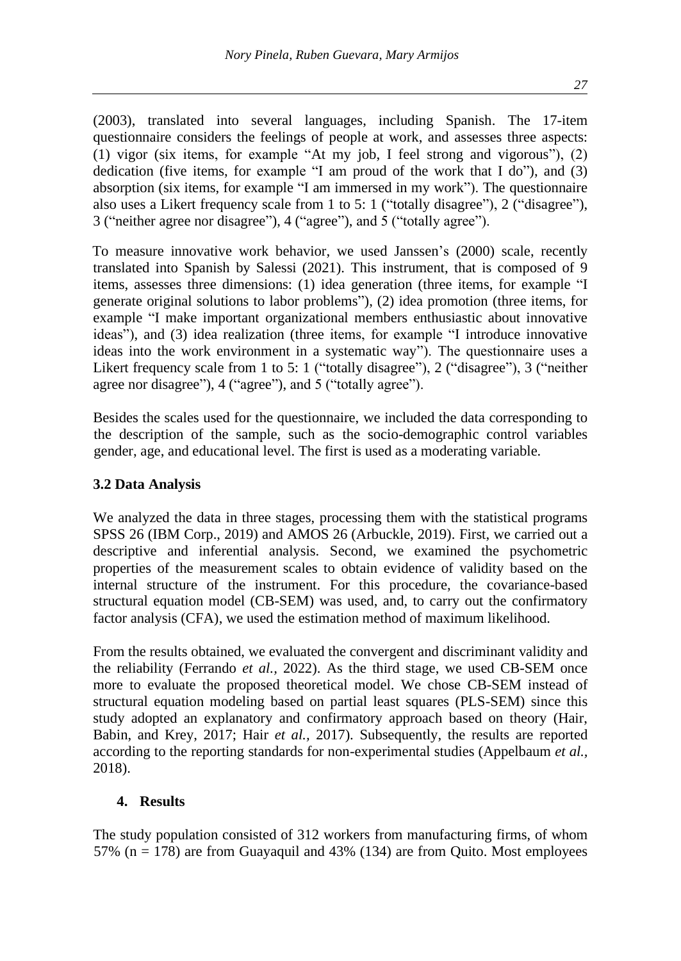(2003), translated into several languages, including Spanish. The 17-item questionnaire considers the feelings of people at work, and assesses three aspects: (1) vigor (six items, for example "At my job, I feel strong and vigorous"), (2) dedication (five items, for example "I am proud of the work that I do"), and  $(3)$ absorption (six items, for example "I am immersed in my work"). The questionnaire also uses a Likert frequency scale from 1 to 5: 1 ("totally disagree"), 2 ("disagree"), 3 ("neither agree nor disagree"), 4 ("agree"), and 5 ("totally agree").

To measure innovative work behavior, we used Janssen's (2000) scale, recently translated into Spanish by Salessi (2021). This instrument, that is composed of 9 items, assesses three dimensions: (1) idea generation (three items, for example "I generate original solutions to labor problems"), (2) idea promotion (three items, for example "I make important organizational members enthusiastic about innovative ideas"), and (3) idea realization (three items, for example "I introduce innovative ideas into the work environment in a systematic way"). The questionnaire uses a Likert frequency scale from 1 to 5: 1 ("totally disagree"), 2 ("disagree"), 3 ("neither agree nor disagree"), 4 ("agree"), and 5 ("totally agree").

Besides the scales used for the questionnaire, we included the data corresponding to the description of the sample, such as the socio-demographic control variables gender, age, and educational level. The first is used as a moderating variable.

# **3.2 Data Analysis**

We analyzed the data in three stages, processing them with the statistical programs SPSS 26 (IBM Corp., 2019) and AMOS 26 (Arbuckle, 2019). First, we carried out a descriptive and inferential analysis. Second, we examined the psychometric properties of the measurement scales to obtain evidence of validity based on the internal structure of the instrument. For this procedure, the covariance-based structural equation model (CB-SEM) was used, and, to carry out the confirmatory factor analysis (CFA), we used the estimation method of maximum likelihood.

From the results obtained, we evaluated the convergent and discriminant validity and the reliability (Ferrando *et al.,* 2022). As the third stage, we used CB-SEM once more to evaluate the proposed theoretical model. We chose CB-SEM instead of structural equation modeling based on partial least squares (PLS-SEM) since this study adopted an explanatory and confirmatory approach based on theory (Hair, Babin, and Krey, 2017; Hair *et al.,* 2017). Subsequently, the results are reported according to the reporting standards for non-experimental studies (Appelbaum *et al.,* 2018).

# **4. Results**

The study population consisted of 312 workers from manufacturing firms, of whom 57% ( $n = 178$ ) are from Guayaquil and 43% (134) are from Quito. Most employees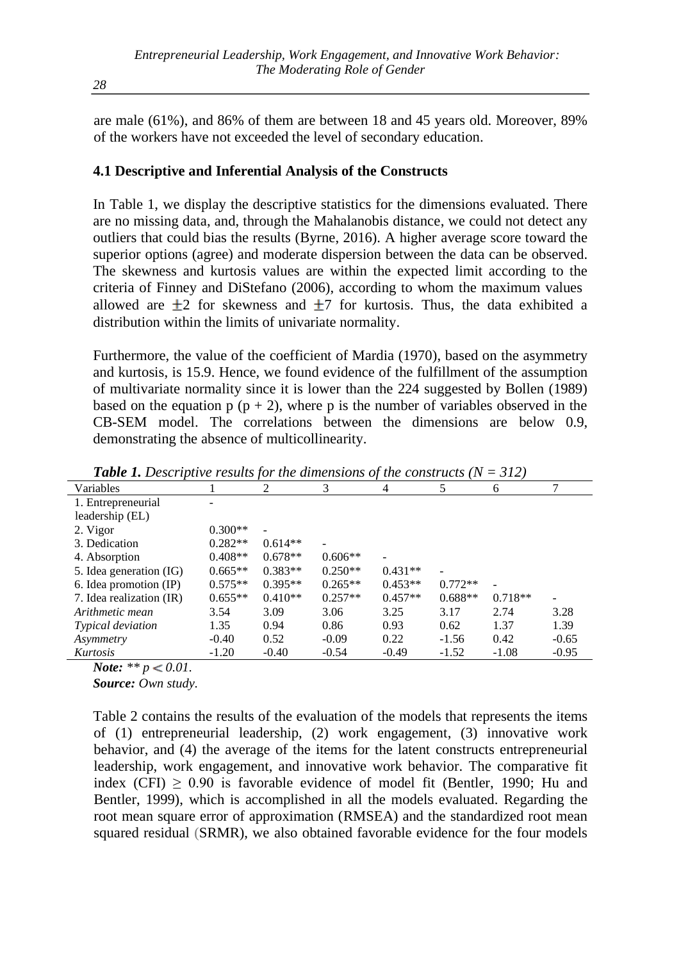are male (61%), and 86% of them are between 18 and 45 years old. Moreover, 89% of the workers have not exceeded the level of secondary education.

## **4.1 Descriptive and Inferential Analysis of the Constructs**

In Table 1, we display the descriptive statistics for the dimensions evaluated. There are no missing data, and, through the Mahalanobis distance, we could not detect any outliers that could bias the results (Byrne, 2016). A higher average score toward the superior options (agree) and moderate dispersion between the data can be observed. The skewness and kurtosis values are within the expected limit according to the criteria of Finney and DiStefano (2006), according to whom the maximum values allowed are  $\pm 2$  for skewness and  $\pm 7$  for kurtosis. Thus, the data exhibited a distribution within the limits of univariate normality.

Furthermore, the value of the coefficient of Mardia (1970), based on the asymmetry and kurtosis, is 15.9. Hence, we found evidence of the fulfillment of the assumption of multivariate normality since it is lower than the 224 suggested by Bollen (1989) based on the equation  $p (p + 2)$ , where p is the number of variables observed in the CB-SEM model. The correlations between the dimensions are below 0.9, demonstrating the absence of multicollinearity.

| Variables                |           | 2         | 3         | 4         |           | 6         |                          |
|--------------------------|-----------|-----------|-----------|-----------|-----------|-----------|--------------------------|
| 1. Entrepreneurial       |           |           |           |           |           |           |                          |
| leadership (EL)          |           |           |           |           |           |           |                          |
| 2. Vigor                 | $0.300**$ |           |           |           |           |           |                          |
| 3. Dedication            | $0.282**$ | $0.614**$ |           |           |           |           |                          |
| 4. Absorption            | $0.408**$ | $0.678**$ | $0.606**$ |           |           |           |                          |
| 5. Idea generation (IG)  | $0.665**$ | $0.383**$ | $0.250**$ | $0.431**$ |           |           |                          |
| 6. Idea promotion (IP)   | $0.575**$ | $0.395**$ | $0.265**$ | $0.453**$ | $0.772**$ |           |                          |
| 7. Idea realization (IR) | $0.655**$ | $0.410**$ | $0.257**$ | $0.457**$ | $0.688**$ | $0.718**$ | $\overline{\phantom{0}}$ |
| Arithmetic mean          | 3.54      | 3.09      | 3.06      | 3.25      | 3.17      | 2.74      | 3.28                     |
| <i>Typical deviation</i> | 1.35      | 0.94      | 0.86      | 0.93      | 0.62      | 1.37      | 1.39                     |
| Asymmetry                | $-0.40$   | 0.52      | $-0.09$   | 0.22      | $-1.56$   | 0.42      | $-0.65$                  |
| Kurtosis                 | $-1.20$   | $-0.40$   | $-0.54$   | $-0.49$   | $-1.52$   | $-1.08$   | $-0.95$                  |

**Table 1.** Descriptive results for the dimensions of the constructs  $(N = 312)$ 

*Note:* \*\*  $p < 0.01$ .

*Source: Own study.*

Table 2 contains the results of the evaluation of the models that represents the items of (1) entrepreneurial leadership, (2) work engagement, (3) innovative work behavior, and (4) the average of the items for the latent constructs entrepreneurial leadership, work engagement, and innovative work behavior. The comparative fit index (CFI)  $\geq 0.90$  is favorable evidence of model fit (Bentler, 1990; Hu and Bentler, 1999), which is accomplished in all the models evaluated. Regarding the root mean square error of approximation (RMSEA) and the standardized root mean squared residual (SRMR), we also obtained favorable evidence for the four models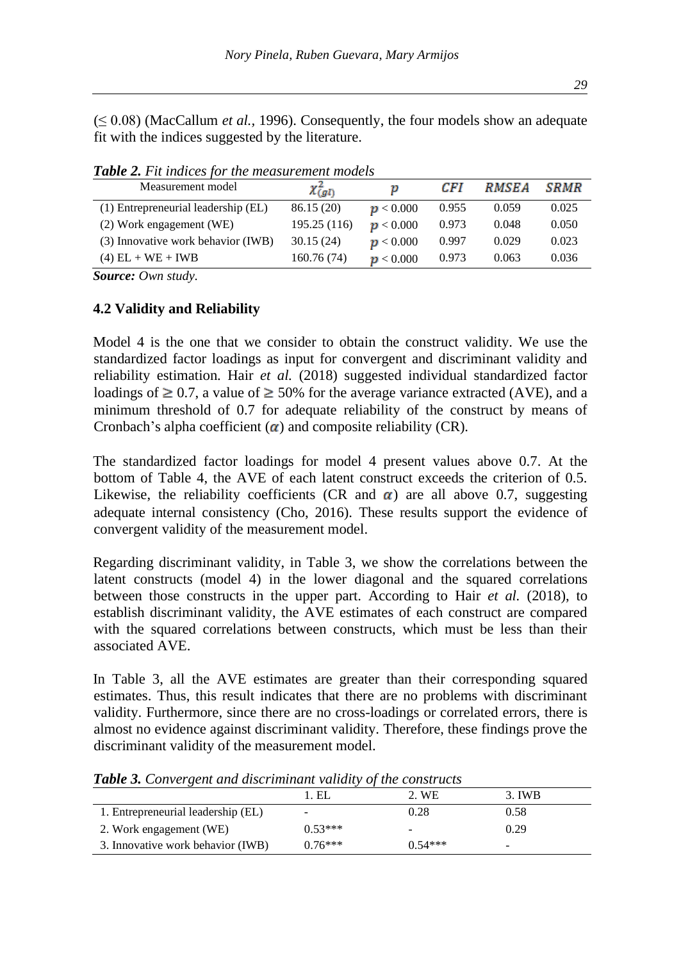(≤ 0.08) (MacCallum *et al.,* 1996). Consequently, the four models show an adequate fit with the indices suggested by the literature.

| Measurement model                   | $\chi^2_{(gl)}$ | р         | CF I  | <i><b>RMSEA</b></i> | <i>SRMR</i> |
|-------------------------------------|-----------------|-----------|-------|---------------------|-------------|
| (1) Entrepreneurial leadership (EL) | 86.15(20)       | p < 0.000 | 0.955 | 0.059               | 0.025       |
| (2) Work engagement (WE)            | 195.25 (116)    | p < 0.000 | 0.973 | 0.048               | 0.050       |
| (3) Innovative work behavior (IWB)  | 30.15(24)       | p < 0.000 | 0.997 | 0.029               | 0.023       |
| $(4)$ EL + WE + IWB                 | 160.76 (74)     | p < 0.000 | 0.973 | 0.063               | 0.036       |

*Table 2. Fit indices for the measurement models*

*Source: Own study.*

### **4.2 Validity and Reliability**

Model 4 is the one that we consider to obtain the construct validity. We use the standardized factor loadings as input for convergent and discriminant validity and reliability estimation. Hair *et al.* (2018) suggested individual standardized factor loadings of  $\geq 0.7$ , a value of  $\geq 50\%$  for the average variance extracted (AVE), and a minimum threshold of 0.7 for adequate reliability of the construct by means of Cronbach's alpha coefficient  $\alpha$ ) and composite reliability (CR).

The standardized factor loadings for model 4 present values above 0.7. At the bottom of Table 4, the AVE of each latent construct exceeds the criterion of 0.5. Likewise, the reliability coefficients (CR and  $\alpha$ ) are all above 0.7, suggesting adequate internal consistency (Cho, 2016). These results support the evidence of convergent validity of the measurement model.

Regarding discriminant validity, in Table 3, we show the correlations between the latent constructs (model 4) in the lower diagonal and the squared correlations between those constructs in the upper part. According to Hair *et al.* (2018), to establish discriminant validity, the AVE estimates of each construct are compared with the squared correlations between constructs, which must be less than their associated AVE.

In Table 3, all the AVE estimates are greater than their corresponding squared estimates. Thus, this result indicates that there are no problems with discriminant validity. Furthermore, since there are no cross-loadings or correlated errors, there is almost no evidence against discriminant validity. Therefore, these findings prove the discriminant validity of the measurement model.

|                                    | 1. EL     | 2. WE     | 3. IWB                   |
|------------------------------------|-----------|-----------|--------------------------|
| 1. Entrepreneurial leadership (EL) |           | 0.28      | 0.58                     |
| 2. Work engagement (WE)            | $0.53***$ |           | 0.29                     |
| 3. Innovative work behavior (IWB)  | $0.76***$ | $0.54***$ | $\overline{\phantom{0}}$ |

*Table 3. Convergent and discriminant validity of the constructs*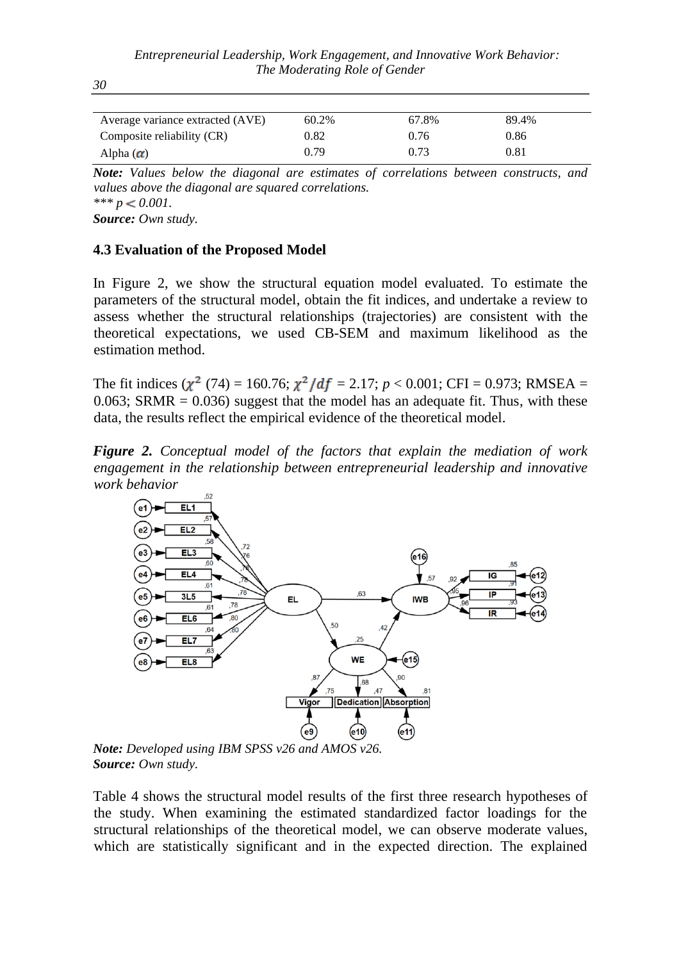| Average variance extracted (AVE) | 60.2% | 67.8% | 89.4% |  |
|----------------------------------|-------|-------|-------|--|
| Composite reliability (CR)       | 0.82  | 0.76  | 0.86  |  |
| Alpha $(\alpha)$                 | 0.79  | 0.73  | 0.81  |  |

*Note: Values below the diagonal are estimates of correlations between constructs, and values above the diagonal are squared correlations.*   $*** p < 0.001$ . *Source: Own study.*

**4.3 Evaluation of the Proposed Model**

*30*

In Figure 2, we show the structural equation model evaluated. To estimate the parameters of the structural model, obtain the fit indices, and undertake a review to assess whether the structural relationships (trajectories) are consistent with the theoretical expectations, we used CB-SEM and maximum likelihood as the estimation method.

The fit indices  $(\chi^2 (74) = 160.76; \chi^2/df = 2.17; p < 0.001; CFI = 0.973; RMSEA =$  $0.063$ ; SRMR =  $0.036$ ) suggest that the model has an adequate fit. Thus, with these data, the results reflect the empirical evidence of the theoretical model.

*Figure 2. Conceptual model of the factors that explain the mediation of work engagement in the relationship between entrepreneurial leadership and innovative work behavior*



*Note: Developed using IBM SPSS v26 and AMOS v26. Source: Own study.*

Table 4 shows the structural model results of the first three research hypotheses of the study. When examining the estimated standardized factor loadings for the structural relationships of the theoretical model, we can observe moderate values, which are statistically significant and in the expected direction. The explained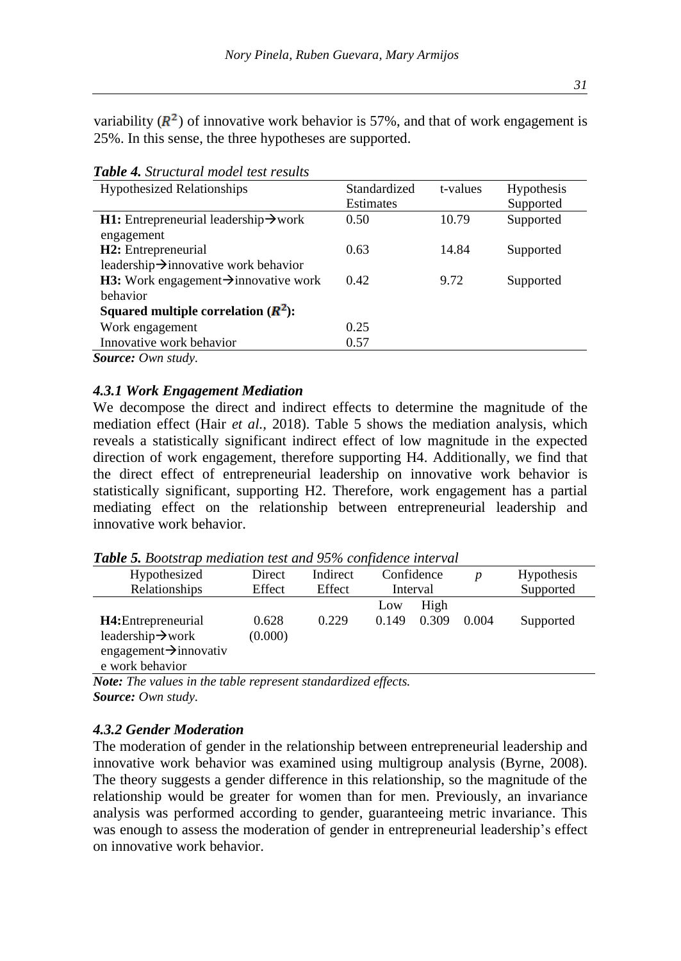variability  $(R^2)$  of innovative work behavior is 57%, and that of work engagement is 25%. In this sense, the three hypotheses are supported.

| <b>Hypothesized Relationships</b>                        | Standardized | t-values | Hypothesis |
|----------------------------------------------------------|--------------|----------|------------|
|                                                          | Estimates    |          | Supported  |
| <b>H1:</b> Entrepreneurial leadership $\rightarrow$ work | 0.50         | 10.79    | Supported  |
| engagement                                               |              |          |            |
| <b>H2</b> : Entrepreneurial                              | 0.63         | 14.84    | Supported  |
| leadership $\rightarrow$ innovative work behavior        |              |          |            |
| <b>H3:</b> Work engagement $\rightarrow$ innovative work | 0.42         | 9.72     | Supported  |
| behavior                                                 |              |          |            |
| Squared multiple correlation $(R^2)$ :                   |              |          |            |
| Work engagement                                          | 0.25         |          |            |
| Innovative work behavior                                 | 0.57         |          |            |
| $\mathcal{C}_{\alpha\alpha\beta\alpha\alpha\alpha\beta}$ |              |          |            |

*Table 4. Structural model test results*

*Source: Own study.*

### *4.3.1 Work Engagement Mediation*

We decompose the direct and indirect effects to determine the magnitude of the mediation effect (Hair *et al.,* 2018). Table 5 shows the mediation analysis, which reveals a statistically significant indirect effect of low magnitude in the expected direction of work engagement, therefore supporting H4. Additionally, we find that the direct effect of entrepreneurial leadership on innovative work behavior is statistically significant, supporting H2. Therefore, work engagement has a partial mediating effect on the relationship between entrepreneurial leadership and innovative work behavior.

| Hypothesized                       | Direct  | Indirect |       | Confidence | D     | <b>Hypothesis</b> |
|------------------------------------|---------|----------|-------|------------|-------|-------------------|
| Relationships                      | Effect  | Effect   |       | Interval   |       | Supported         |
|                                    |         |          | Low   | High       |       |                   |
| H4: Entrepreneurial                | 0.628   | 0.229    | 0.149 | 0.309      | 0.004 | Supported         |
| leadership $\rightarrow$ work      | (0.000) |          |       |            |       |                   |
| engagement $\rightarrow$ innovativ |         |          |       |            |       |                   |
| e work behavior                    |         |          |       |            |       |                   |

*Table 5. Bootstrap mediation test and 95% confidence interval*

*Note: The values in the table represent standardized effects. Source: Own study.*

### *4.3.2 Gender Moderation*

The moderation of gender in the relationship between entrepreneurial leadership and innovative work behavior was examined using multigroup analysis (Byrne, 2008). The theory suggests a gender difference in this relationship, so the magnitude of the relationship would be greater for women than for men. Previously, an invariance analysis was performed according to gender, guaranteeing metric invariance. This was enough to assess the moderation of gender in entrepreneurial leadership's effect on innovative work behavior.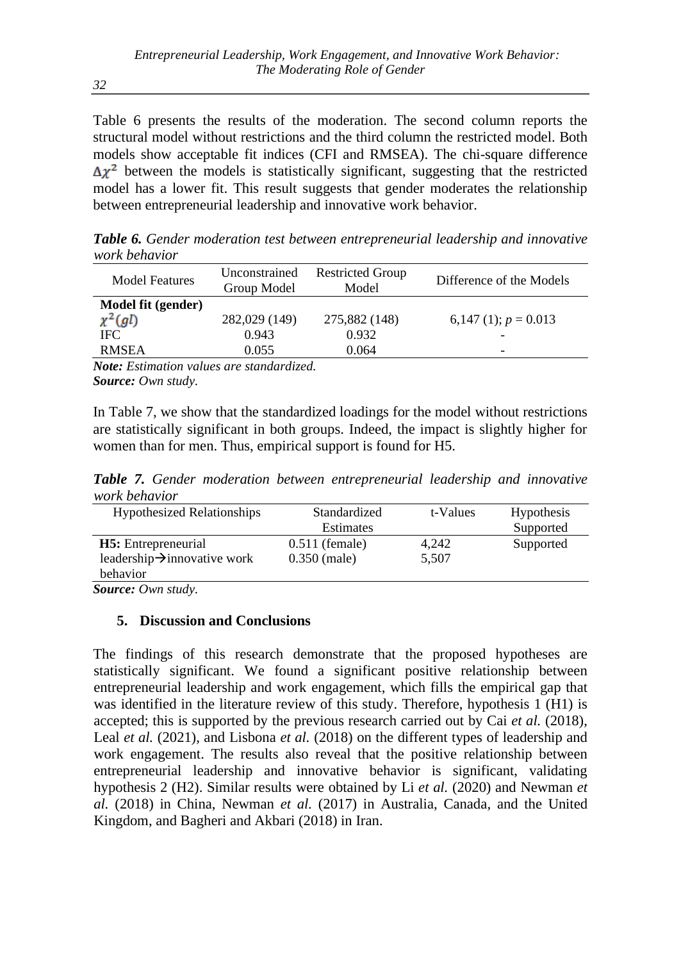Table 6 presents the results of the moderation. The second column reports the structural model without restrictions and the third column the restricted model. Both models show acceptable fit indices (CFI and RMSEA). The chi-square difference  $\Delta \chi^2$  between the models is statistically significant, suggesting that the restricted model has a lower fit. This result suggests that gender moderates the relationship between entrepreneurial leadership and innovative work behavior.

*Table 6. Gender moderation test between entrepreneurial leadership and innovative work behavior*

| <b>Model Features</b> | Unconstrained<br>Group Model | <b>Restricted Group</b><br>Model | Difference of the Models |
|-----------------------|------------------------------|----------------------------------|--------------------------|
| Model fit (gender)    |                              |                                  |                          |
| $\chi^2(gl)$          | 282,029 (149)                | 275,882 (148)                    | 6,147 (1); $p = 0.013$   |
| IFC.                  | 0.943                        | 0.932                            |                          |
| <b>RMSEA</b>          | 0.055                        | 0.064                            | -                        |

*Note: Estimation values are standardized. Source: Own study.*

In Table 7, we show that the standardized loadings for the model without restrictions are statistically significant in both groups. Indeed, the impact is slightly higher for women than for men. Thus, empirical support is found for H5.

*Table 7. Gender moderation between entrepreneurial leadership and innovative work behavior*

| <b>Hypothesized Relationships</b>        | Standardized     | t-Values | <b>Hypothesis</b> |
|------------------------------------------|------------------|----------|-------------------|
|                                          | Estimates        |          | Supported         |
| <b>H5</b> : Entrepreneurial              | $0.511$ (female) | 4.242    | Supported         |
| leadership $\rightarrow$ innovative work | $0.350$ (male)   | 5,507    |                   |
| behavior                                 |                  |          |                   |

*Source: Own study.*

### **5. Discussion and Conclusions**

The findings of this research demonstrate that the proposed hypotheses are statistically significant. We found a significant positive relationship between entrepreneurial leadership and work engagement, which fills the empirical gap that was identified in the literature review of this study. Therefore, hypothesis 1 (H1) is accepted; this is supported by the previous research carried out by Cai *et al.* (2018), Leal *et al.* (2021), and Lisbona *et al.* (2018) on the different types of leadership and work engagement. The results also reveal that the positive relationship between entrepreneurial leadership and innovative behavior is significant, validating hypothesis 2 (H2). Similar results were obtained by Li *et al.* (2020) and Newman *et al.* (2018) in China, Newman *et al.* (2017) in Australia, Canada, and the United Kingdom, and Bagheri and Akbari (2018) in Iran.

*32*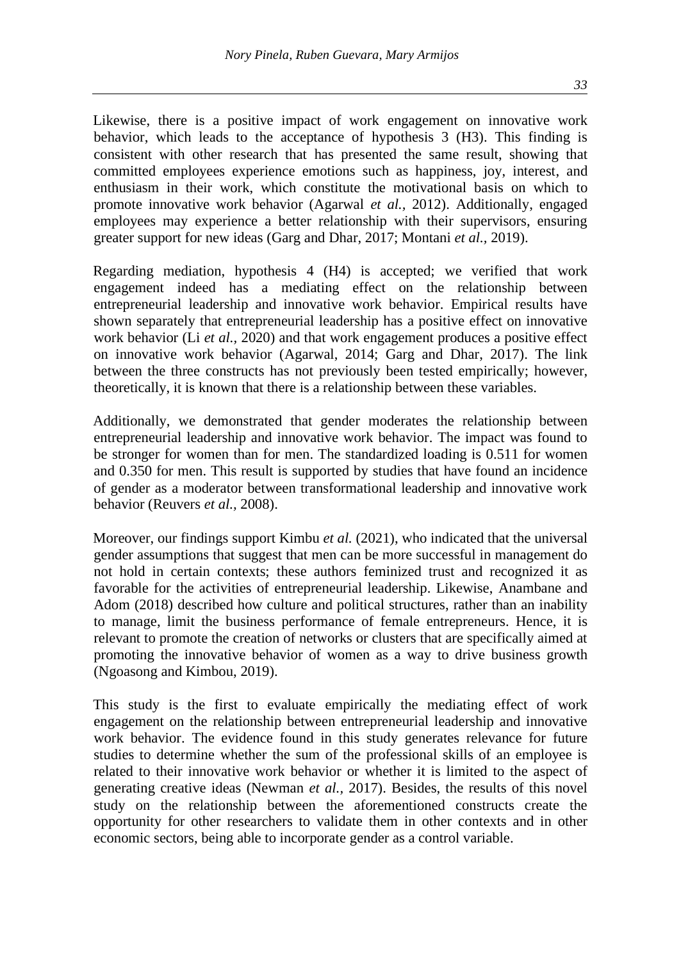*33*

Likewise, there is a positive impact of work engagement on innovative work behavior, which leads to the acceptance of hypothesis 3 (H3). This finding is consistent with other research that has presented the same result, showing that committed employees experience emotions such as happiness, joy, interest, and enthusiasm in their work, which constitute the motivational basis on which to promote innovative work behavior (Agarwal *et al.,* 2012). Additionally, engaged employees may experience a better relationship with their supervisors, ensuring greater support for new ideas (Garg and Dhar, 2017; Montani *et al.,* 2019).

Regarding mediation, hypothesis 4 (H4) is accepted; we verified that work engagement indeed has a mediating effect on the relationship between entrepreneurial leadership and innovative work behavior. Empirical results have shown separately that entrepreneurial leadership has a positive effect on innovative work behavior (Li *et al.,* 2020) and that work engagement produces a positive effect on innovative work behavior (Agarwal, 2014; Garg and Dhar, 2017). The link between the three constructs has not previously been tested empirically; however, theoretically, it is known that there is a relationship between these variables.

Additionally, we demonstrated that gender moderates the relationship between entrepreneurial leadership and innovative work behavior. The impact was found to be stronger for women than for men. The standardized loading is 0.511 for women and 0.350 for men. This result is supported by studies that have found an incidence of gender as a moderator between transformational leadership and innovative work behavior (Reuvers *et al.,* 2008).

Moreover, our findings support Kimbu *et al.* (2021), who indicated that the universal gender assumptions that suggest that men can be more successful in management do not hold in certain contexts; these authors feminized trust and recognized it as favorable for the activities of entrepreneurial leadership. Likewise, Anambane and Adom (2018) described how culture and political structures, rather than an inability to manage, limit the business performance of female entrepreneurs. Hence, it is relevant to promote the creation of networks or clusters that are specifically aimed at promoting the innovative behavior of women as a way to drive business growth (Ngoasong and Kimbou, 2019).

This study is the first to evaluate empirically the mediating effect of work engagement on the relationship between entrepreneurial leadership and innovative work behavior. The evidence found in this study generates relevance for future studies to determine whether the sum of the professional skills of an employee is related to their innovative work behavior or whether it is limited to the aspect of generating creative ideas (Newman *et al.,* 2017). Besides, the results of this novel study on the relationship between the aforementioned constructs create the opportunity for other researchers to validate them in other contexts and in other economic sectors, being able to incorporate gender as a control variable.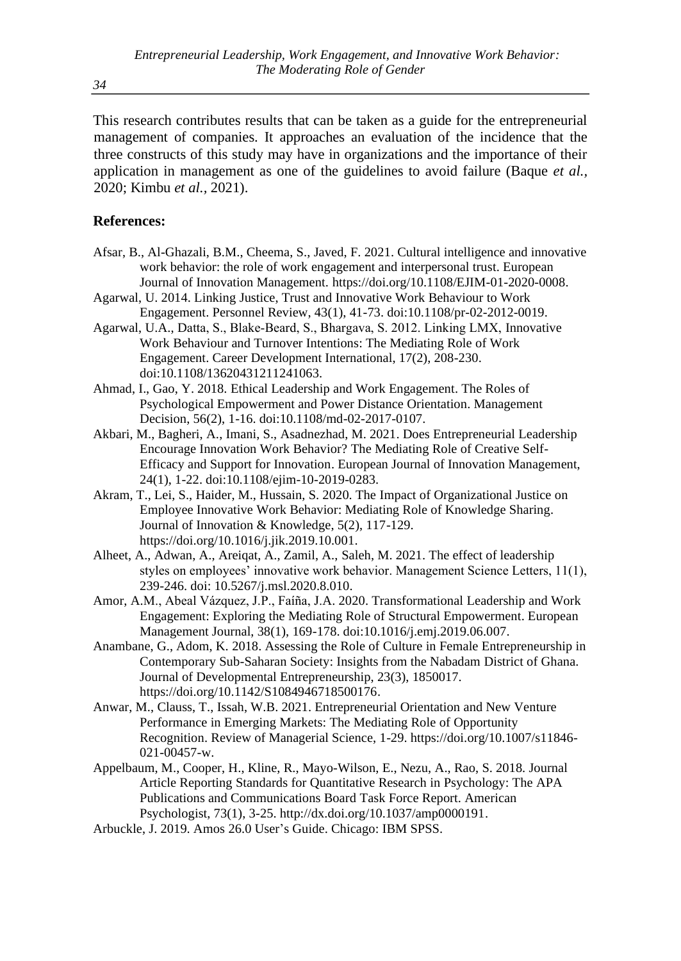This research contributes results that can be taken as a guide for the entrepreneurial management of companies. It approaches an evaluation of the incidence that the three constructs of this study may have in organizations and the importance of their application in management as one of the guidelines to avoid failure (Baque *et al.,* 2020; Kimbu *et al.,* 2021).

#### **References:**

- Afsar, B., Al-Ghazali, B.M., Cheema, S., Javed, F. 2021. Cultural intelligence and innovative work behavior: the role of work engagement and interpersonal trust. European Journal of Innovation Management. https://doi.org/10.1108/EJIM-01-2020-0008.
- Agarwal, U. 2014. Linking Justice, Trust and Innovative Work Behaviour to Work Engagement. Personnel Review, 43(1), 41-73. doi:10.1108/pr-02-2012-0019.
- Agarwal, U.A., Datta, S., Blake‐Beard, S., Bhargava, S. 2012. Linking LMX, Innovative Work Behaviour and Turnover Intentions: The Mediating Role of Work Engagement. Career Development International, 17(2), 208-230. doi:10.1108/13620431211241063.
- Ahmad, I., Gao, Y. 2018. Ethical Leadership and Work Engagement. The Roles of Psychological Empowerment and Power Distance Orientation. Management Decision, 56(2), 1-16. doi:10.1108/md-02-2017-0107.
- Akbari, M., Bagheri, A., Imani, S., Asadnezhad, M. 2021. Does Entrepreneurial Leadership Encourage Innovation Work Behavior? The Mediating Role of Creative Self-Efficacy and Support for Innovation. European Journal of Innovation Management, 24(1), 1-22. doi:10.1108/ejim-10-2019-0283.
- Akram, T., Lei, S., Haider, M., Hussain, S. 2020. The Impact of Organizational Justice on Employee Innovative Work Behavior: Mediating Role of Knowledge Sharing. Journal of Innovation & Knowledge, 5(2), 117-129. [https://doi.org/10.1016/j.jik.2019.10.001.](https://doi.org/10.1016/j.jik.2019.10.001)
- Alheet, A., Adwan, A., Areiqat, A., Zamil, A., Saleh, M. 2021. The effect of leadership styles on employees' innovative work behavior. Management Science Letters, 11(1), 239-246. doi: 10.5267/j.msl.2020.8.010.
- Amor, A.M., Abeal Vázquez, J.P., Faíña, J.A. 2020. Transformational Leadership and Work Engagement: Exploring the Mediating Role of Structural Empowerment. European Management Journal, 38(1), 169-178. doi:10.1016/j.emj.2019.06.007.
- Anambane, G., Adom, K. 2018. Assessing the Role of Culture in Female Entrepreneurship in Contemporary Sub-Saharan Society: Insights from the Nabadam District of Ghana. Journal of Developmental Entrepreneurship, 23(3), 1850017. https://doi.org/10.1142/S1084946718500176.
- Anwar, M., Clauss, T., Issah, W.B. 2021. Entrepreneurial Orientation and New Venture Performance in Emerging Markets: The Mediating Role of Opportunity Recognition. Review of Managerial Science, 1-29. https://doi.org/10.1007/s11846- 021-00457-w.
- Appelbaum, M., Cooper, H., Kline, R., Mayo-Wilson, E., Nezu, A., Rao, S. 2018. Journal Article Reporting Standards for Quantitative Research in Psychology: The APA Publications and Communications Board Task Force Report. American Psychologist, 73(1), 3-25. http://dx.doi.org/10.1037/amp0000191.
- Arbuckle, J. 2019. Amos 26.0 User's Guide. Chicago: IBM SPSS.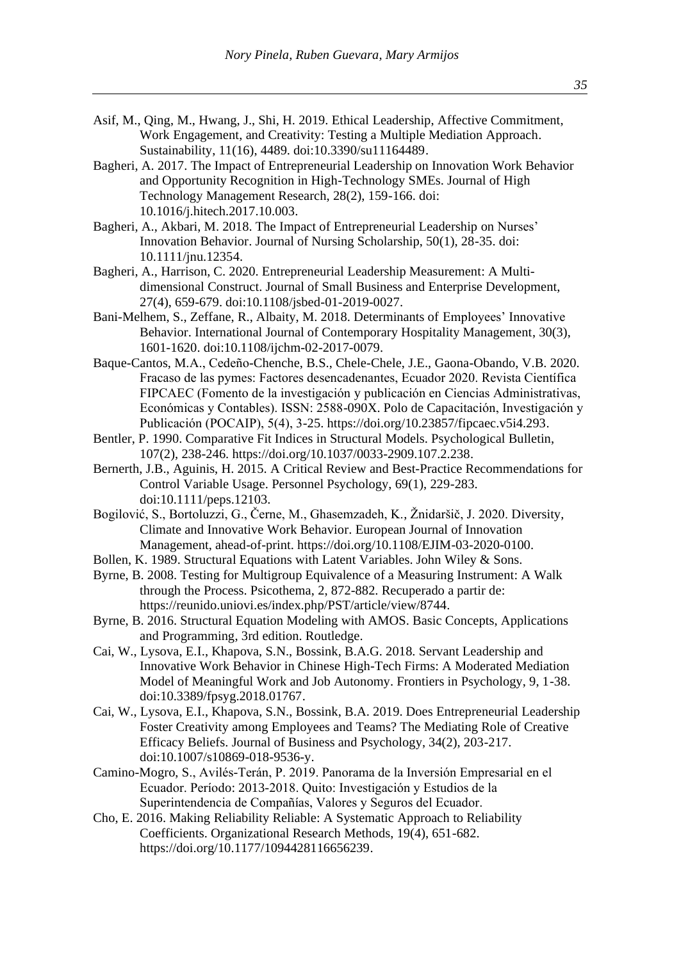- Asif, M., Qing, M., Hwang, J., Shi, H. 2019. Ethical Leadership, Affective Commitment, Work Engagement, and Creativity: Testing a Multiple Mediation Approach. Sustainability, 11(16), 4489. doi:10.3390/su11164489.
- Bagheri, A. 2017. The Impact of Entrepreneurial Leadership on Innovation Work Behavior and Opportunity Recognition in High-Technology SMEs. Journal of High Technology Management Research, 28(2), 159-166. doi: 10.1016/j.hitech.2017.10.003.
- Bagheri, A., Akbari, M. 2018. The Impact of Entrepreneurial Leadership on Nurses' Innovation Behavior. Journal of Nursing Scholarship, 50(1), 28-35. doi: 10.1111/jnu.12354.
- Bagheri, A., Harrison, C. 2020. Entrepreneurial Leadership Measurement: A Multidimensional Construct. Journal of Small Business and Enterprise Development, 27(4), 659-679. doi:10.1108/jsbed-01-2019-0027.
- Bani-Melhem, S., Zeffane, R., Albaity, M. 2018. Determinants of Employees' Innovative Behavior. International Journal of Contemporary Hospitality Management, 30(3), 1601-1620. doi:10.1108/ijchm-02-2017-0079.
- Baque-Cantos, M.A., Cedeño-Chenche, B.S., Chele-Chele, J.E., Gaona-Obando, V.B. 2020. Fracaso de las pymes: Factores desencadenantes, Ecuador 2020. Revista Científica FIPCAEC (Fomento de la investigación y publicación en Ciencias Administrativas, Económicas y Contables). ISSN: 2588-090X. Polo de Capacitación, Investigación y Publicación (POCAIP), 5(4), 3-25. https://doi.org/10.23857/fipcaec.v5i4.293.
- Bentler, P. 1990. Comparative Fit Indices in Structural Models. Psychological Bulletin, 107(2), 238-246. https://doi.org/10.1037/0033-2909.107.2.238.
- Bernerth, J.B., Aguinis, H. 2015. A Critical Review and Best-Practice Recommendations for Control Variable Usage. Personnel Psychology, 69(1), 229-283. doi:10.1111/peps.12103.
- Bogilović, S., Bortoluzzi, G., Černe, M., Ghasemzadeh, K., Žnidaršič, J. 2020. Diversity, Climate and Innovative Work Behavior. European Journal of Innovation Management, ahead-of-print. https://doi.org/10.1108/EJIM-03-2020-0100.
- Bollen, K. 1989. Structural Equations with Latent Variables. John Wiley & Sons.
- Byrne, B. 2008. Testing for Multigroup Equivalence of a Measuring Instrument: A Walk through the Process. Psicothema, 2, 872-882. Recuperado a partir de: https://reunido.uniovi.es/index.php/PST/article/view/8744.
- Byrne, B. 2016. Structural Equation Modeling with AMOS. Basic Concepts, Applications and Programming, 3rd edition. Routledge.
- Cai, W., Lysova, E.I., Khapova, S.N., Bossink, B.A.G. 2018. Servant Leadership and Innovative Work Behavior in Chinese High-Tech Firms: A Moderated Mediation Model of Meaningful Work and Job Autonomy. Frontiers in Psychology, 9, 1-38. doi:10.3389/fpsyg.2018.01767.
- Cai, W., Lysova, E.I., Khapova, S.N., Bossink, B.A. 2019. Does Entrepreneurial Leadership Foster Creativity among Employees and Teams? The Mediating Role of Creative Efficacy Beliefs. Journal of Business and Psychology, 34(2), 203-217. doi:10.1007/s10869-018-9536-y.
- Camino-Mogro, S., Avilés-Terán, P. 2019. Panorama de la Inversión Empresarial en el Ecuador. Período: 2013-2018. Quito: Investigación y Estudios de la Superintendencia de Compañías, Valores y Seguros del Ecuador.
- Cho, E. 2016. Making Reliability Reliable: A Systematic Approach to Reliability Coefficients. Organizational Research Methods, 19(4), 651-682. https://doi.org/10.1177/1094428116656239.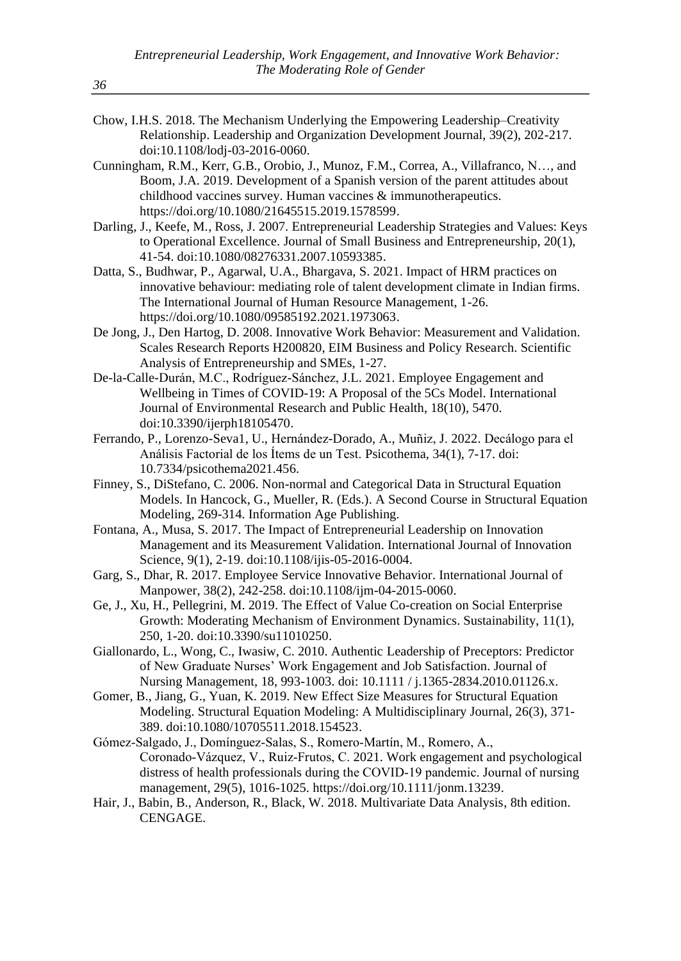- Chow, I.H.S. 2018. The Mechanism Underlying the Empowering Leadership–Creativity Relationship. Leadership and Organization Development Journal, 39(2), 202-217. doi:10.1108/lodj-03-2016-0060.
- Cunningham, R.M., Kerr, G.B., Orobio, J., Munoz, F.M., Correa, A., Villafranco, N…, and Boom, J.A. 2019. Development of a Spanish version of the parent attitudes about childhood vaccines survey. Human vaccines & immunotherapeutics. https://doi.org/10.1080/21645515.2019.1578599.
- Darling, J., Keefe, M., Ross, J. 2007. Entrepreneurial Leadership Strategies and Values: Keys to Operational Excellence. Journal of Small Business and Entrepreneurship, 20(1), 41-54. doi:10.1080/08276331.2007.10593385.
- Datta, S., Budhwar, P., Agarwal, U.A., Bhargava, S. 2021. Impact of HRM practices on innovative behaviour: mediating role of talent development climate in Indian firms. The International Journal of Human Resource Management, 1-26. https://doi.org/10.1080/09585192.2021.1973063.
- De Jong, J., Den Hartog, D. 2008. Innovative Work Behavior: Measurement and Validation. Scales Research Reports H200820, EIM Business and Policy Research. Scientific Analysis of Entrepreneurship and SMEs, 1-27.
- De-la-Calle-Durán, M.C., Rodríguez-Sánchez, J.L. 2021. Employee Engagement and Wellbeing in Times of COVID-19: A Proposal of the 5Cs Model. International Journal of Environmental Research and Public Health, 18(10), 5470. doi:10.3390/ijerph18105470.
- Ferrando, P., Lorenzo-Seva1, U., Hernández-Dorado, A., Muñiz, J. 2022. Decálogo para el Análisis Factorial de los Ítems de un Test. Psicothema, 34(1), 7-17. doi: 10.7334/psicothema2021.456.
- Finney, S., DiStefano, C. 2006. Non-normal and Categorical Data in Structural Equation Models. In Hancock, G., Mueller, R. (Eds.). A Second Course in Structural Equation Modeling, 269-314. Information Age Publishing.
- Fontana, A., Musa, S. 2017. The Impact of Entrepreneurial Leadership on Innovation Management and its Measurement Validation. International Journal of Innovation Science, 9(1), 2-19. doi:10.1108/ijis-05-2016-0004.
- Garg, S., Dhar, R. 2017. Employee Service Innovative Behavior. International Journal of Manpower, 38(2), 242-258. doi:10.1108/ijm-04-2015-0060.
- Ge, J., Xu, H., Pellegrini, M. 2019. The Effect of Value Co-creation on Social Enterprise Growth: Moderating Mechanism of Environment Dynamics. Sustainability, 11(1), 250, 1-20. doi:10.3390/su11010250.
- Giallonardo, L., Wong, C., Iwasiw, C. 2010. Authentic Leadership of Preceptors: Predictor of New Graduate Nurses' Work Engagement and Job Satisfaction. Journal of Nursing Management, 18, 993-1003. doi: 10.1111 / j.1365-2834.2010.01126.x.
- Gomer, B., Jiang, G., Yuan, K. 2019. New Effect Size Measures for Structural Equation Modeling. Structural Equation Modeling: A Multidisciplinary Journal, 26(3), 371- 389. doi:10.1080/10705511.2018.154523.
- Gómez‐Salgado, J., Domínguez‐Salas, S., Romero‐Martín, M., Romero, A., Coronado‐Vázquez, V., Ruiz‐Frutos, C. 2021. Work engagement and psychological distress of health professionals during the COVID‐19 pandemic. Journal of nursing management, 29(5), 1016-1025. https://doi.org/10.1111/jonm.13239.
- Hair, J., Babin, B., Anderson, R., Black, W. 2018. Multivariate Data Analysis, 8th edition. CENGAGE.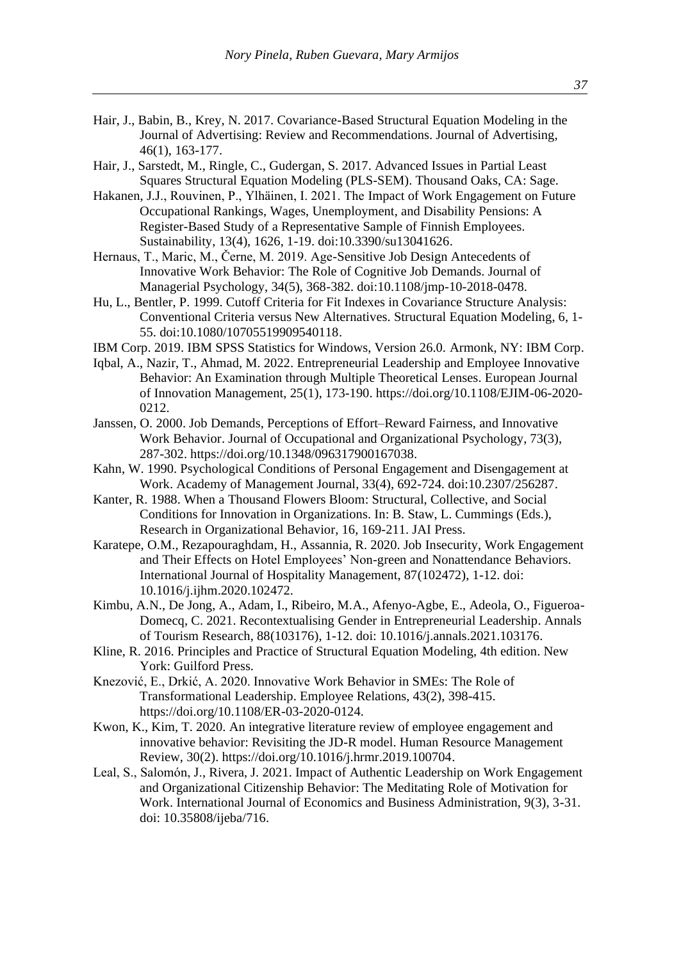- Hair, J., Babin, B., Krey, N. 2017. Covariance-Based Structural Equation Modeling in the Journal of Advertising: Review and Recommendations. Journal of Advertising, 46(1), 163-177.
- Hair, J., Sarstedt, M., Ringle, C., Gudergan, S. 2017. Advanced Issues in Partial Least Squares Structural Equation Modeling (PLS-SEM). Thousand Oaks, CA: Sage.
- Hakanen, J.J., Rouvinen, P., Ylhäinen, I. 2021. The Impact of Work Engagement on Future Occupational Rankings, Wages, Unemployment, and Disability Pensions: A Register-Based Study of a Representative Sample of Finnish Employees. Sustainability, 13(4), 1626, 1-19. doi:10.3390/su13041626.
- Hernaus, T., Maric, M., Černe, M. 2019. Age-Sensitive Job Design Antecedents of Innovative Work Behavior: The Role of Cognitive Job Demands. Journal of Managerial Psychology, 34(5), 368-382. doi:10.1108/jmp-10-2018-0478.
- Hu, L., Bentler, P. 1999. Cutoff Criteria for Fit Indexes in Covariance Structure Analysis: Conventional Criteria versus New Alternatives. Structural Equation Modeling, 6, 1- 55. doi:10.1080/10705519909540118.
- IBM Corp. 2019. IBM SPSS Statistics for Windows, Version 26.0. Armonk, NY: IBM Corp.
- Iqbal, A., Nazir, T., Ahmad, M. 2022. Entrepreneurial Leadership and Employee Innovative Behavior: An Examination through Multiple Theoretical Lenses. European Journal of Innovation Management, 25(1), 173-190. https://doi.org/10.1108/EJIM-06-2020- 0212.
- Janssen, O. 2000. Job Demands, Perceptions of Effort–Reward Fairness, and Innovative Work Behavior. Journal of Occupational and Organizational Psychology, 73(3), 287-302. https://doi.org/10.1348/096317900167038.
- Kahn, W. 1990. Psychological Conditions of Personal Engagement and Disengagement at Work. Academy of Management Journal, 33(4), 692-724. doi:10.2307/256287.
- Kanter, R. 1988. When a Thousand Flowers Bloom: Structural, Collective, and Social Conditions for Innovation in Organizations. In: B. Staw, L. Cummings (Eds.), Research in Organizational Behavior, 16, 169-211. JAI Press.
- Karatepe, O.M., Rezapouraghdam, H., Assannia, R. 2020. Job Insecurity, Work Engagement and Their Effects on Hotel Employees' Non-green and Nonattendance Behaviors. International Journal of Hospitality Management, 87(102472), 1-12. doi: 10.1016/j.ijhm.2020.102472.
- Kimbu, A.N., De Jong, A., Adam, I., Ribeiro, M.A., Afenyo-Agbe, E., Adeola, O., Figueroa-Domecq, C. 2021. Recontextualising Gender in Entrepreneurial Leadership. Annals of Tourism Research, 88(103176), 1-12. doi: 10.1016/j.annals.2021.103176.
- Kline, R. 2016. Principles and Practice of Structural Equation Modeling, 4th edition. New York: Guilford Press.
- Knezović, E., Drkić, A. 2020. Innovative Work Behavior in SMEs: The Role of Transformational Leadership. Employee Relations, 43(2), 398-415. [https://doi.org/10.1108/ER-03-2020-0124.](https://doi.org/10.1108/ER-03-2020-0124)
- Kwon, K., Kim, T. 2020. An integrative literature review of employee engagement and innovative behavior: Revisiting the JD-R model. Human Resource Management Review, 30(2). https://doi.org/10.1016/j.hrmr.2019.100704.
- Leal, S., Salomón, J., Rivera, J. 2021. Impact of Authentic Leadership on Work Engagement and Organizational Citizenship Behavior: The Meditating Role of Motivation for Work. International Journal of Economics and Business Administration, 9(3), 3-31. doi: 10.35808/ijeba/716.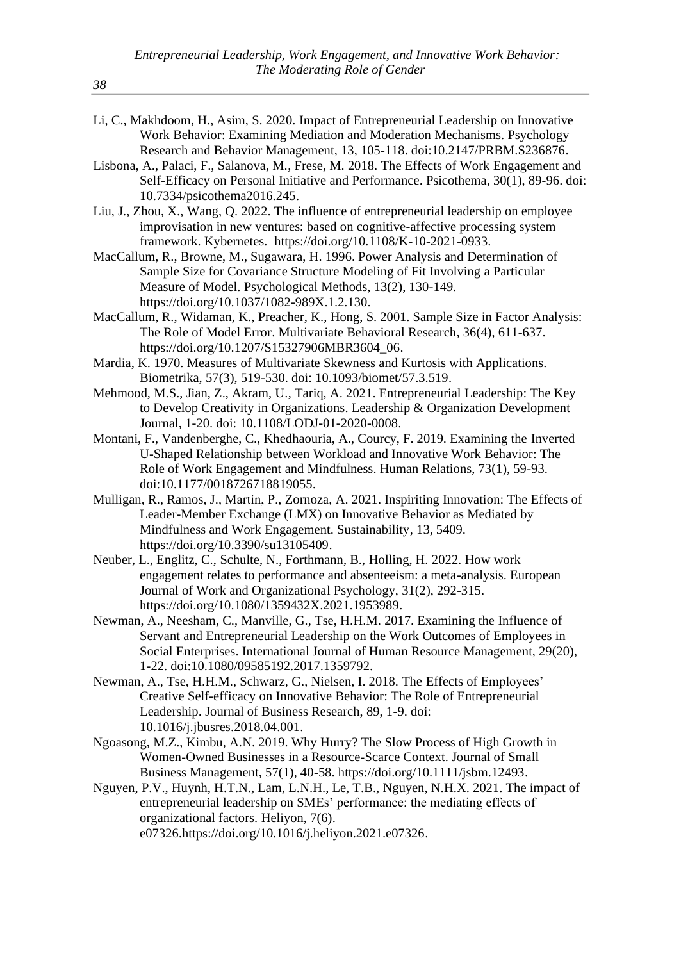- Li, C., Makhdoom, H., Asim, S. 2020. Impact of Entrepreneurial Leadership on Innovative Work Behavior: Examining Mediation and Moderation Mechanisms. Psychology Research and Behavior Management, 13, 105-118. doi:10.2147/PRBM.S236876.
- Lisbona, A., Palaci, F., Salanova, M., Frese, M. 2018. The Effects of Work Engagement and Self-Efficacy on Personal Initiative and Performance. Psicothema, 30(1), 89-96. doi: 10.7334/psicothema2016.245.
- Liu, J., Zhou, X., Wang, Q. 2022. The influence of entrepreneurial leadership on employee improvisation in new ventures: based on cognitive-affective processing system framework. Kybernetes. https://doi.org/10.1108/K-10-2021-0933.
- MacCallum, R., Browne, M., Sugawara, H. 1996. Power Analysis and Determination of Sample Size for Covariance Structure Modeling of Fit Involving a Particular Measure of Model. Psychological Methods, 13(2), 130-149. https://doi.org/10.1037/1082-989X.1.2.130.
- MacCallum, R., Widaman, K., Preacher, K., Hong, S. 2001. Sample Size in Factor Analysis: The Role of Model Error. Multivariate Behavioral Research, 36(4), 611-637. https://doi.org/10.1207/S15327906MBR3604\_06.
- Mardia, K. 1970. Measures of Multivariate Skewness and Kurtosis with Applications. Biometrika, 57(3), 519-530. doi: 10.1093/biomet/57.3.519.
- Mehmood, M.S., Jian, Z., Akram, U., Tariq, A. 2021. Entrepreneurial Leadership: The Key to Develop Creativity in Organizations. Leadership & Organization Development Journal, 1-20. doi: 10.1108/LODJ-01-2020-0008.
- Montani, F., Vandenberghe, C., Khedhaouria, A., Courcy, F. 2019. Examining the Inverted U-Shaped Relationship between Workload and Innovative Work Behavior: The Role of Work Engagement and Mindfulness. Human Relations, 73(1), 59-93. doi:10.1177/0018726718819055.
- Mulligan, R., Ramos, J., Martín, P., Zornoza, A. 2021. Inspiriting Innovation: The Effects of Leader-Member Exchange (LMX) on Innovative Behavior as Mediated by Mindfulness and Work Engagement. Sustainability, 13, 5409. [https://doi.org/10.3390/su13105409.](https://doi.org/10.3390/su13105409)
- Neuber, L., Englitz, C., Schulte, N., Forthmann, B., Holling, H. 2022. How work engagement relates to performance and absenteeism: a meta-analysis. European Journal of Work and Organizational Psychology, 31(2), 292-315. https://doi.org/10.1080/1359432X.2021.1953989.
- Newman, A., Neesham, C., Manville, G., Tse, H.H.M. 2017. Examining the Influence of Servant and Entrepreneurial Leadership on the Work Outcomes of Employees in Social Enterprises. International Journal of Human Resource Management, 29(20), 1-22. doi:10.1080/09585192.2017.1359792.
- Newman, A., Tse, H.H.M., Schwarz, G., Nielsen, I. 2018. The Effects of Employees' Creative Self-efficacy on Innovative Behavior: The Role of Entrepreneurial Leadership. Journal of Business Research, 89, 1-9. doi: 10.1016/j.jbusres.2018.04.001.
- Ngoasong, M.Z., Kimbu, A.N. 2019. Why Hurry? The Slow Process of High Growth in Women‐Owned Businesses in a Resource‐Scarce Context. Journal of Small Business Management, 57(1), 40-58. [https://doi.org/10.1111/jsbm.12493.](https://doi.org/10.1111/jsbm.12493)
- Nguyen, P.V., Huynh, H.T.N., Lam, L.N.H., Le, T.B., Nguyen, N.H.X. 2021. The impact of entrepreneurial leadership on SMEs' performance: the mediating effects of organizational factors. Heliyon, 7(6). e07326.https://doi.org/10.1016/j.heliyon.2021.e07326.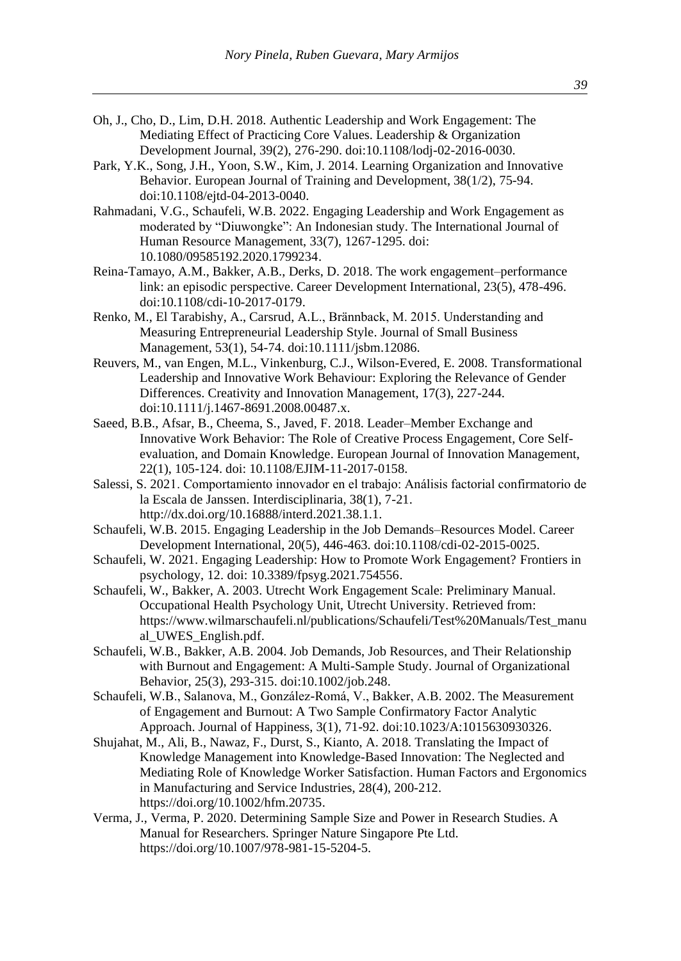- Oh, J., Cho, D., Lim, D.H. 2018. Authentic Leadership and Work Engagement: The Mediating Effect of Practicing Core Values. Leadership & Organization Development Journal, 39(2), 276-290. doi:10.1108/lodj-02-2016-0030.
- Park, Y.K., Song, J.H., Yoon, S.W., Kim, J. 2014. Learning Organization and Innovative Behavior. European Journal of Training and Development, 38(1/2), 75-94. doi:10.1108/ejtd-04-2013-0040.
- Rahmadani, V.G., Schaufeli, W.B. 2022. Engaging Leadership and Work Engagement as moderated by "Diuwongke": An Indonesian study. The International Journal of Human Resource Management, 33(7), 1267-1295. doi: 10.1080/09585192.2020.1799234.
- Reina-Tamayo, A.M., Bakker, A.B., Derks, D. 2018. The work engagement–performance link: an episodic perspective. Career Development International, 23(5), 478-496. doi:10.1108/cdi-10-2017-0179.
- Renko, M., El Tarabishy, A., Carsrud, A.L., Brännback, M. 2015. Understanding and Measuring Entrepreneurial Leadership Style. Journal of Small Business Management, 53(1), 54-74. doi:10.1111/jsbm.12086.
- Reuvers, M., van Engen, M.L., Vinkenburg, C.J., Wilson-Evered, E. 2008. Transformational Leadership and Innovative Work Behaviour: Exploring the Relevance of Gender Differences. Creativity and Innovation Management, 17(3), 227-244. doi:10.1111/j.1467-8691.2008.00487.x.
- Saeed, B.B., Afsar, B., Cheema, S., Javed, F. 2018. Leader–Member Exchange and Innovative Work Behavior: The Role of Creative Process Engagement, Core Selfevaluation, and Domain Knowledge. European Journal of Innovation Management, 22(1), 105-124. doi: 10.1108/EJIM-11-2017-0158.
- Salessi, S. 2021. Comportamiento innovador en el trabajo: Análisis factorial confirmatorio de la Escala de Janssen. Interdisciplinaria, 38(1), 7-21. http://dx.doi.org/10.16888/interd.2021.38.1.1.
- Schaufeli, W.B. 2015. Engaging Leadership in the Job Demands–Resources Model. Career Development International, 20(5), 446-463. doi:10.1108/cdi-02-2015-0025.
- Schaufeli, W. 2021. Engaging Leadership: How to Promote Work Engagement? Frontiers in psychology, 12. doi: 10.3389/fpsyg.2021.754556.
- Schaufeli, W., Bakker, A. 2003. Utrecht Work Engagement Scale: Preliminary Manual. Occupational Health Psychology Unit, Utrecht University. Retrieved from: https://www.wilmarschaufeli.nl/publications/Schaufeli/Test%20Manuals/Test\_manu al\_UWES\_English.pdf.
- Schaufeli, W.B., Bakker, A.B. 2004. Job Demands, Job Resources, and Their Relationship with Burnout and Engagement: A Multi-Sample Study. Journal of Organizational Behavior, 25(3), 293-315. doi:10.1002/job.248.
- Schaufeli, W.B., Salanova, M., González-Romá, V., Bakker, A.B. 2002. The Measurement of Engagement and Burnout: A Two Sample Confirmatory Factor Analytic Approach. Journal of Happiness, 3(1), 71-92. doi:10.1023/A:1015630930326.
- Shujahat, M., Ali, B., Nawaz, F., Durst, S., Kianto, A. 2018. Translating the Impact of Knowledge Management into Knowledge-Based Innovation: The Neglected and Mediating Role of Knowledge Worker Satisfaction. Human Factors and Ergonomics in Manufacturing and Service Industries, 28(4), 200-212. https://doi.org/10.1002/hfm.20735.
- Verma, J., Verma, P. 2020. Determining Sample Size and Power in Research Studies. A Manual for Researchers. Springer Nature Singapore Pte Ltd. [https://doi.org/10.1007/978-981-15-5204-5.](https://doi.org/10.1007/978-981-15-5204-5)